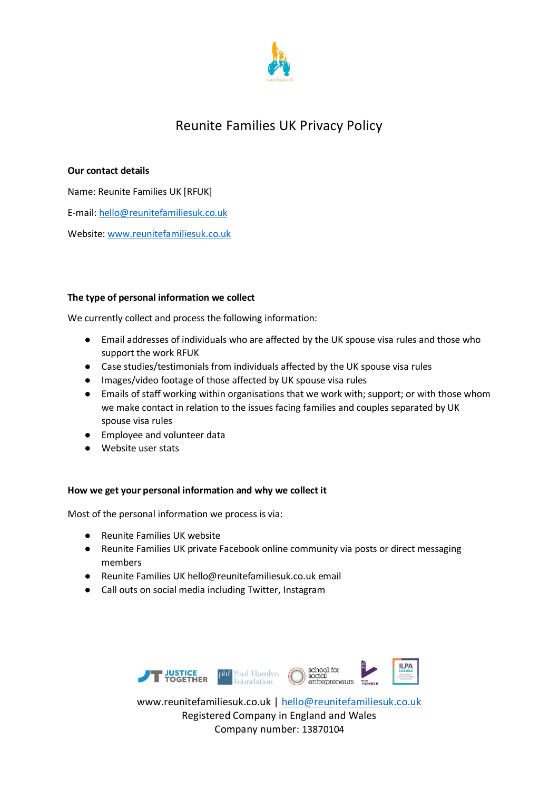

# Reunite Families UK Privacy Policy

# **Our contact details**

Name: Reunite Families UK [RFUK] E-mail[: hello@reunitefamiliesuk.co.uk](mailto:hello@reunitefamiliesuk.co.uk) Website[: www.reunitefamiliesuk.co.uk](http://www.reunitefamiliesuk.co.uk/)

## **The type of personal information we collect**

We currently collect and process the following information:

- Email addresses of individuals who are affected by the UK spouse visa rules and those who support the work RFUK
- Case studies/testimonials from individuals affected by the UK spouse visa rules
- Images/video footage of those affected by UK spouse visa rules
- Emails of staff working within organisations that we work with; support; or with those whom we make contact in relation to the issues facing families and couples separated by UK spouse visa rules
- Employee and volunteer data
- Website user stats

## **How we get your personal information and why we collect it**

Most of the personal information we process is via:

- Reunite Families UK website
- Reunite Families UK private Facebook online community via posts or direct messaging members
- Reunite Families UK hello@reunitefamiliesuk.co.uk email
- Call outs on social media including Twitter, Instagram



www.reunitefamiliesuk.co.uk | [hello@reunitefamiliesuk.co.uk](mailto:hello@reunitefamiliesuk.co.uk) Registered Company in England and Wales Company number: 13870104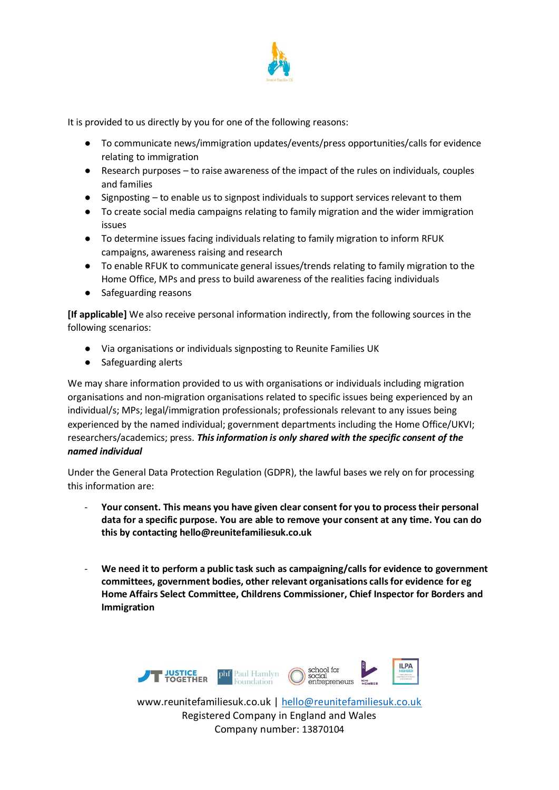

It is provided to us directly by you for one of the following reasons:

- To communicate news/immigration updates/events/press opportunities/calls for evidence relating to immigration
- Research purposes to raise awareness of the impact of the rules on individuals, couples and families
- Signposting to enable us to signpost individuals to support services relevant to them
- To create social media campaigns relating to family migration and the wider immigration issues
- To determine issues facing individuals relating to family migration to inform RFUK campaigns, awareness raising and research
- To enable RFUK to communicate general issues/trends relating to family migration to the Home Office, MPs and press to build awareness of the realities facing individuals
- Safeguarding reasons

**[If applicable]** We also receive personal information indirectly, from the following sources in the following scenarios:

- Via organisations or individuals signposting to Reunite Families UK
- Safeguarding alerts

We may share information provided to us with organisations or individuals including migration organisations and non-migration organisations related to specific issues being experienced by an individual/s; MPs; legal/immigration professionals; professionals relevant to any issues being experienced by the named individual; government departments including the Home Office/UKVI; researchers/academics; press. *This information is only shared with the specific consent of the named individual* 

Under the General Data Protection Regulation (GDPR), the lawful bases we rely on for processing this information are:

- **Your consent. This means you have given clear consent for you to process their personal data for a specific purpose. You are able to remove your consent at any time. You can do this by contacting hello@reunitefamiliesuk.co.uk**
- We need it to perform a public task such as campaigning/calls for evidence to government **committees, government bodies, other relevant organisations calls for evidence for eg Home Affairs Select Committee, Childrens Commissioner, Chief Inspector for Borders and Immigration**



www.reunitefamiliesuk.co.uk | [hello@reunitefamiliesuk.co.uk](mailto:hello@reunitefamiliesuk.co.uk) Registered Company in England and Wales Company number: 13870104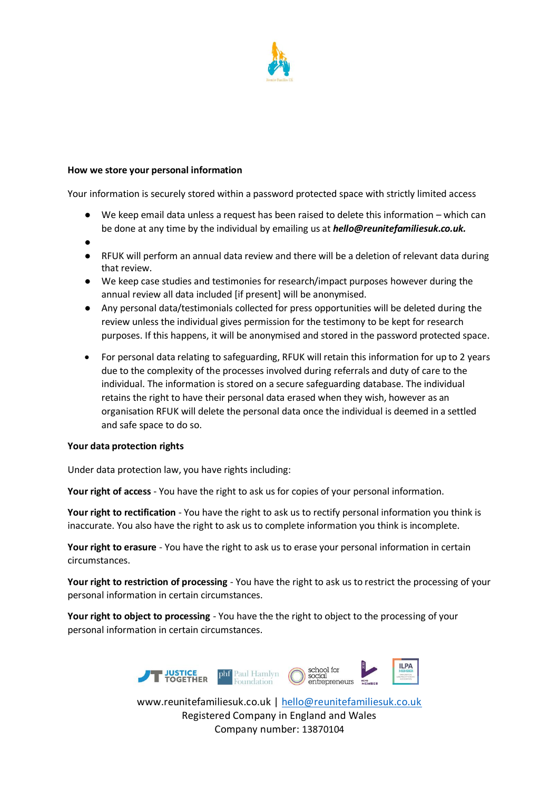

#### **How we store your personal information**

Your information is securely stored within a password protected space with strictly limited access

- We keep email data unless a request has been raised to delete this information which can be done at any time by the individual by emailing us at *hello@reunitefamiliesuk.co.uk.*
- $\bullet$
- RFUK will perform an annual data review and there will be a deletion of relevant data during that review.
- We keep case studies and testimonies for research/impact purposes however during the annual review all data included [if present] will be anonymised.
- Any personal data/testimonials collected for press opportunities will be deleted during the review unless the individual gives permission for the testimony to be kept for research purposes. If this happens, it will be anonymised and stored in the password protected space.
- For personal data relating to safeguarding, RFUK will retain this information for up to 2 years due to the complexity of the processes involved during referrals and duty of care to the individual. The information is stored on a secure safeguarding database. The individual retains the right to have their personal data erased when they wish, however as an organisation RFUK will delete the personal data once the individual is deemed in a settled and safe space to do so.

#### **Your data protection rights**

Under data protection law, you have rights including:

**Your right of access** - You have the right to ask us for copies of your personal information.

**Your right to rectification** - You have the right to ask us to rectify personal information you think is inaccurate. You also have the right to ask us to complete information you think is incomplete.

**Your right to erasure** - You have the right to ask us to erase your personal information in certain circumstances.

**Your right to restriction of processing** - You have the right to ask us to restrict the processing of your personal information in certain circumstances.

**Your right to object to processing** - You have the the right to object to the processing of your personal information in certain circumstances.



Company number: 13870104